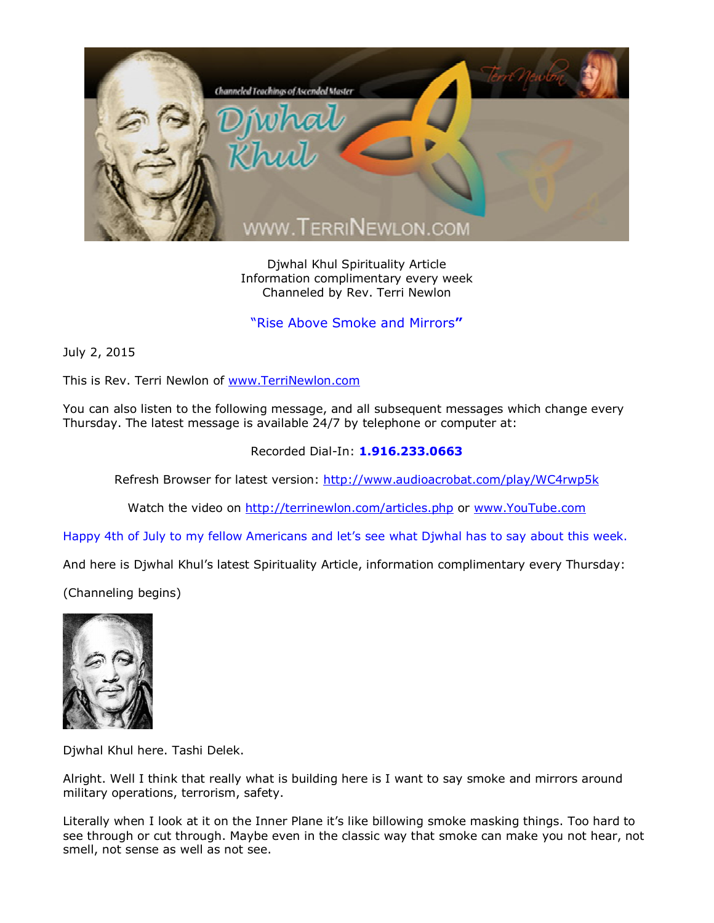

Djwhal Khul Spirituality Article Information complimentary every week Channeled by Rev. Terri Newlon

"Rise Above Smoke and Mirrors**"**

July 2, 2015

This is Rev. Terri Newlon of [www.TerriNewlon.com](http://www.terrinewlon.com/)

You can also listen to the following message, and all subsequent messages which change every Thursday. The latest message is available 24/7 by telephone or computer at:

## Recorded Dial-In: **1.916.233.0663**

Refresh Browser for latest version: <http://www.audioacrobat.com/play/WC4rwp5k>

Watch the video on <http://terrinewlon.com/articles.php> or [www.YouTube.com](http://www.youtube.com/)

Happy 4th of July to my fellow Americans and let's see what Djwhal has to say about this week.

And here is Djwhal Khul's latest Spirituality Article, information complimentary every Thursday:

(Channeling begins)



Djwhal Khul here. Tashi Delek.

Alright. Well I think that really what is building here is I want to say smoke and mirrors around military operations, terrorism, safety.

Literally when I look at it on the Inner Plane it's like billowing smoke masking things. Too hard to see through or cut through. Maybe even in the classic way that smoke can make you not hear, not smell, not sense as well as not see.